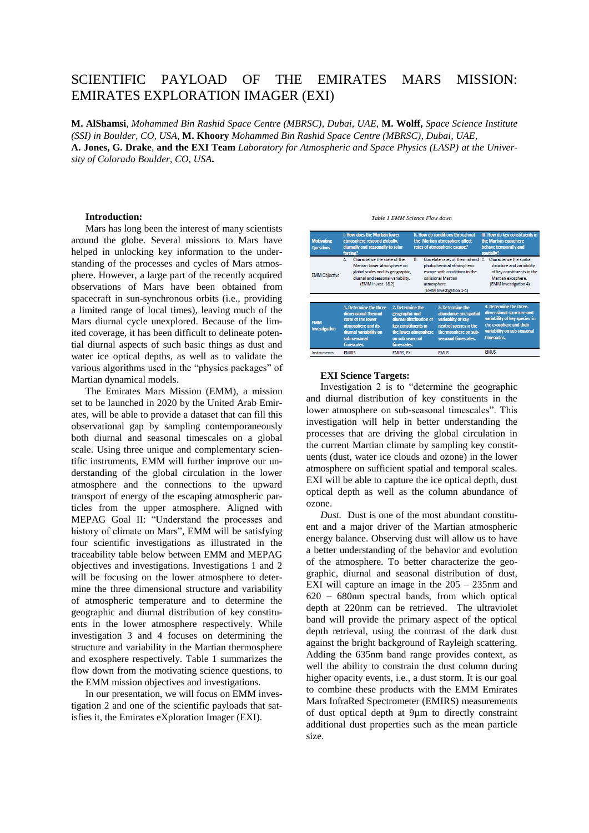# SCIENTIFIC PAYLOAD OF THE EMIRATES MARS MISSION: EMIRATES EXPLORATION IMAGER (EXI)

**M. AlShamsi**, *Mohammed Bin Rashid Space Centre (MBRSC), Dubai, UAE,* **M. Wolff,** *Space Science Institute (SSI) in Boulder, CO, USA,* **M. Khoory** *Mohammed Bin Rashid Space Centre (MBRSC), Dubai, UAE,*  **A. Jones, G. Drake***,* **and the EXI Team** *Laboratory for Atmospheric and Space Physics (LASP) at the University of Colorado Boulder, CO, USA***.**

#### **Introduction:**

Mars has long been the interest of many scientists around the globe. Several missions to Mars have helped in unlocking key information to the understanding of the processes and cycles of Mars atmosphere. However, a large part of the recently acquired observations of Mars have been obtained from spacecraft in sun-synchronous orbits (i.e., providing a limited range of local times), leaving much of the Mars diurnal cycle unexplored. Because of the limited coverage, it has been difficult to delineate potential diurnal aspects of such basic things as dust and water ice optical depths, as well as to validate the various algorithms used in the "physics packages" of Martian dynamical models.

The Emirates Mars Mission (EMM), a mission set to be launched in 2020 by the United Arab Emirates, will be able to provide a dataset that can fill this observational gap by sampling contemporaneously both diurnal and seasonal timescales on a global scale. Using three unique and complementary scientific instruments, EMM will further improve our understanding of the global circulation in the lower atmosphere and the connections to the upward transport of energy of the escaping atmospheric particles from the upper atmosphere. Aligned with MEPAG Goal II: "Understand the processes and history of climate on Mars", EMM will be satisfying four scientific investigations as illustrated in the traceability table below between EMM and MEPAG objectives and investigations. Investigations 1 and 2 will be focusing on the lower atmosphere to determine the three dimensional structure and variability of atmospheric temperature and to determine the geographic and diurnal distribution of key constituents in the lower atmosphere respectively. While investigation 3 and 4 focuses on determining the structure and variability in the Martian thermosphere and exosphere respectively. Table 1 summarizes the flow down from the motivating science questions, to the EMM mission objectives and investigations.

In our presentation, we will focus on EMM investigation 2 and one of the scientific payloads that satisfies it, the Emirates eXploration Imager (EXI).

*Table 1 EMM Science Flow down*

| <b>Motivating</b><br><b>Questions</b> | I. How does the Martian lower<br>atmosphere respond globally,<br>diurnally and seasonally to solar<br>forcing?                                                   |                                                                                             | II. How do conditions throughout<br>the Martian atmosphere affect<br>rates of atmospheric escape? |                                                                                                                                                | III. How do key constituents in<br>the Martian exosphere<br>behave temporally and<br>spatially?                                                                |
|---------------------------------------|------------------------------------------------------------------------------------------------------------------------------------------------------------------|---------------------------------------------------------------------------------------------|---------------------------------------------------------------------------------------------------|------------------------------------------------------------------------------------------------------------------------------------------------|----------------------------------------------------------------------------------------------------------------------------------------------------------------|
| <b>EMM Objective</b>                  | Characterize the state of the<br>Δ<br>Martian lower atmosphere on<br>global scales and its geographic,<br>diurnal and seasonal variability.<br>(EMM Invest, 1&2) |                                                                                             | B.<br>atmosphere.                                                                                 | Correlate rates of thermal and<br>photochemical atmospheric<br>escape with conditions in the<br>collisional Martian<br>(EMM Investigation 1-4) | Characterize the spatial<br>c<br>structure and variability<br>of key constituents in the<br>Martian exosphere.<br>(EMM Investigation 4)                        |
| <b>FMM</b><br><b>Investigation</b>    | 1. Determine the three-<br>dimensional thermal<br>state of the lower<br>atmosphere and its<br>diurnal variability on<br>sub-seasonal<br>timescales.              | 2. Determine the<br>geographic and<br>key constituents in<br>on sub-seasonal<br>timescales. | diurnal distribution of<br>the lower atmosphere                                                   | 3. Determine the<br>abundance and spatial<br>variability of key<br>neutral species in the<br>thermosphere on sub-<br>seasonal timescales.      | 4. Determine the three-<br>dimensional structure and<br>variability of key species in<br>the exosphere and their<br>variability on sub-seasonal<br>timescales. |
| <b>Instruments</b>                    | <b>EMIRS</b>                                                                                                                                                     | <b>EMIRS, EXI</b>                                                                           |                                                                                                   | <b>EMUS</b>                                                                                                                                    | <b>EMUS</b>                                                                                                                                                    |

### **EXI Science Targets:**

Investigation 2 is to "determine the geographic and diurnal distribution of key constituents in the lower atmosphere on sub-seasonal timescales". This investigation will help in better understanding the processes that are driving the global circulation in the current Martian climate by sampling key constituents (dust, water ice clouds and ozone) in the lower atmosphere on sufficient spatial and temporal scales. EXI will be able to capture the ice optical depth, dust optical depth as well as the column abundance of ozone.

*Dust.* Dust is one of the most abundant constituent and a major driver of the Martian atmospheric energy balance. Observing dust will allow us to have a better understanding of the behavior and evolution of the atmosphere. To better characterize the geographic, diurnal and seasonal distribution of dust, EXI will capture an image in the 205 – 235nm and 620 – 680nm spectral bands, from which optical depth at 220nm can be retrieved. The ultraviolet band will provide the primary aspect of the optical depth retrieval, using the contrast of the dark dust against the bright background of Rayleigh scattering. Adding the 635nm band range provides context, as well the ability to constrain the dust column during higher opacity events, i.e., a dust storm. It is our goal to combine these products with the EMM Emirates Mars InfraRed Spectrometer (EMIRS) measurements of dust optical depth at 9µm to directly constraint additional dust properties such as the mean particle size.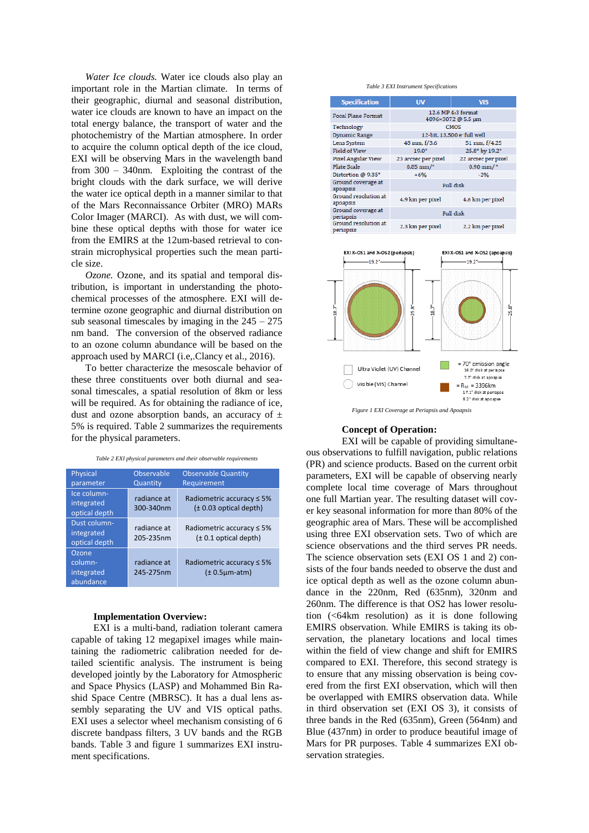*Water Ice clouds.* Water ice clouds also play an important role in the Martian climate. In terms of their geographic, diurnal and seasonal distribution, water ice clouds are known to have an impact on the total energy balance, the transport of water and the photochemistry of the Martian atmosphere. In order to acquire the column optical depth of the ice cloud, EXI will be observing Mars in the wavelength band from 300 – 340nm. Exploiting the contrast of the bright clouds with the dark surface, we will derive the water ice optical depth in a manner similar to that of the Mars Reconnaissance Orbiter (MRO) MARs Color Imager (MARCI). As with dust, we will combine these optical depths with those for water ice from the EMIRS at the 12um-based retrieval to constrain microphysical properties such the mean particle size.

*Ozone.* Ozone, and its spatial and temporal distribution, is important in understanding the photochemical processes of the atmosphere. EXI will determine ozone geographic and diurnal distribution on sub seasonal timescales by imaging in the  $245 - 275$ nm band. The conversion of the observed radiance to an ozone column abundance will be based on the approach used by MARCI (i.e,.Clancy et al., 2016).

To better characterize the mesoscale behavior of these three constituents over both diurnal and seasonal timescales, a spatial resolution of 8km or less will be required. As for obtaining the radiance of ice, dust and ozone absorption bands, an accuracy of  $\pm$ 5% is required. Table 2 summarizes the requirements for the physical parameters.

*Table 2 EXI physical parameters and their observable requirements*

| Physical<br>parameter                       | Observable<br>Quantity   | <b>Observable Quantity</b><br>Requirement                      |
|---------------------------------------------|--------------------------|----------------------------------------------------------------|
| Ice column-<br>integrated<br>optical depth  | radiance at<br>300-340nm | Radiometric accuracy $\leq 5\%$<br>$(\pm 0.03$ optical depth)  |
| Dust column-<br>integrated<br>optical depth | radiance at<br>205-235nm | Radiometric accuracy $\leq 5\%$<br>$(± 0.1$ optical depth)     |
| Ozone<br>column-<br>integrated<br>abundance | radiance at<br>245-275nm | Radiometric accuracy $\leq 5\%$<br>$(\pm 0.5 \mu m \cdot atm)$ |

#### **Implementation Overview:**

EXI is a multi-band, radiation tolerant camera capable of taking 12 megapixel images while maintaining the radiometric calibration needed for detailed scientific analysis. The instrument is being developed jointly by the Laboratory for Atmospheric and Space Physics (LASP) and Mohammed Bin Rashid Space Centre (MBRSC). It has a dual lens assembly separating the UV and VIS optical paths. EXI uses a selector wheel mechanism consisting of 6 discrete bandpass filters, 3 UV bands and the RGB bands. Table 3 and figure 1 summarizes EXI instrument specifications.

#### *Table 3 EXI Instrument Specifications*

| <b>Specification</b>              | <b>UV</b>                                | <b>VIS</b>           |  |  |
|-----------------------------------|------------------------------------------|----------------------|--|--|
| <b>Focal Plane Format</b>         | 12.6 MP 4:3 format<br>4096×3072 @ 5.5 µm |                      |  |  |
| Technology                        | CMOS                                     |                      |  |  |
| Dynamic Range                     | 12-bit, 13,500 e full well               |                      |  |  |
| Lens System                       | 48 mm, f/3.6                             | 51 mm, f/4.25        |  |  |
| <b>Field of View</b>              | $19.0^\circ$                             | 25.8° by 19.2°       |  |  |
| <b>Pixel Angular View</b>         | 23 arcsec per pixel                      | 22 arcsec per pixel  |  |  |
| Plate Scale                       | $0.85$ mm/ $\textdegree$                 | $0.90$ mm/ $\degree$ |  |  |
| Distortion @ 9.35°                | $+6%$                                    | $-2%$                |  |  |
| Ground coverage at<br>apoapsis    |                                          | Full disk            |  |  |
| Ground resolution at<br>apoapsis  | 4.9 km per pixel                         | 4.6 km per pixel     |  |  |
| Ground coverage at<br>periapsis   | <b>Full disk</b>                         |                      |  |  |
| Ground resolution at<br>periapsis | 2.3 km per pixel                         | 2.2 km per pixel     |  |  |



*Figure 1 EXI Coverage at Periapsis and Apoapsis* 

#### **Concept of Operation:**

EXI will be capable of providing simultaneous observations to fulfill navigation, public relations (PR) and science products. Based on the current orbit parameters, EXI will be capable of observing nearly complete local time coverage of Mars throughout one full Martian year. The resulting dataset will cover key seasonal information for more than 80% of the geographic area of Mars. These will be accomplished using three EXI observation sets. Two of which are science observations and the third serves PR needs. The science observation sets (EXI OS 1 and 2) consists of the four bands needed to observe the dust and ice optical depth as well as the ozone column abundance in the 220nm, Red (635nm), 320nm and 260nm. The difference is that OS2 has lower resolution (<64km resolution) as it is done following EMIRS observation. While EMIRS is taking its observation, the planetary locations and local times within the field of view change and shift for EMIRS compared to EXI. Therefore, this second strategy is to ensure that any missing observation is being covered from the first EXI observation, which will then be overlapped with EMIRS observation data. While in third observation set (EXI OS 3), it consists of three bands in the Red (635nm), Green (564nm) and Blue (437nm) in order to produce beautiful image of Mars for PR purposes. Table 4 summarizes EXI observation strategies.